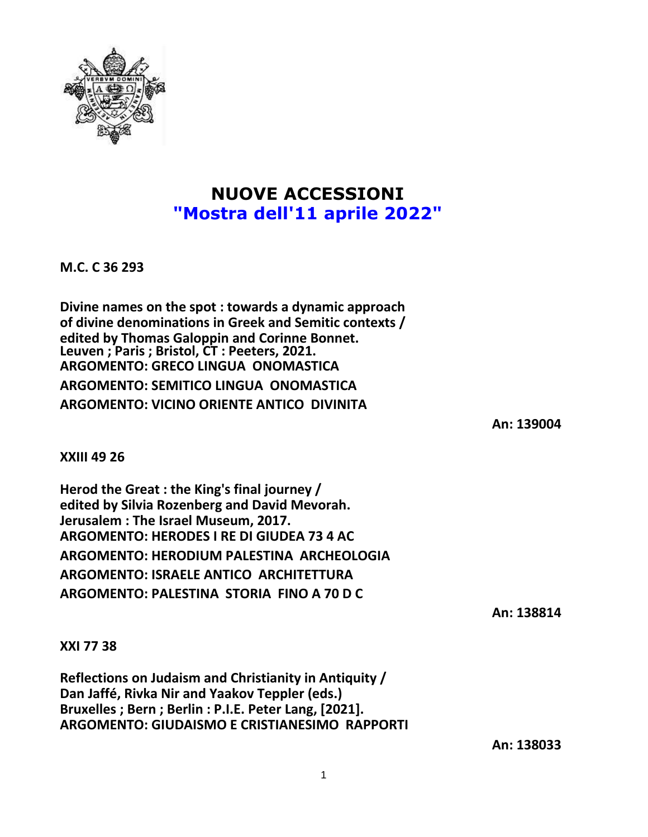

## **NUOVE ACCESSIONI "Mostra dell'11 aprile 2022"**

**M.C. C 36 293**

**Divine names on the spot : towards a dynamic approach of divine denominations in Greek and Semitic contexts / edited by Thomas Galoppin and Corinne Bonnet. Leuven ; Paris ; Bristol, CT : Peeters, 2021. ARGOMENTO: GRECO LINGUA ONOMASTICA**

**ARGOMENTO: SEMITICO LINGUA ONOMASTICA ARGOMENTO: VICINO ORIENTE ANTICO DIVINITA**

**An: 139004**

**XXIII 49 26**

**Herod the Great : the King's final journey / edited by Silvia Rozenberg and David Mevorah. Jerusalem : The Israel Museum, 2017. ARGOMENTO: HERODES I RE DI GIUDEA 73 4 AC ARGOMENTO: HERODIUM PALESTINA ARCHEOLOGIA ARGOMENTO: ISRAELE ANTICO ARCHITETTURA ARGOMENTO: PALESTINA STORIA FINO A 70 D C**

**An: 138814**

**XXI 77 38**

**Reflections on Judaism and Christianity in Antiquity / Dan Jaffé, Rivka Nir and Yaakov Teppler (eds.) Bruxelles ; Bern ; Berlin : P.I.E. Peter Lang, [2021]. ARGOMENTO: GIUDAISMO E CRISTIANESIMO RAPPORTI**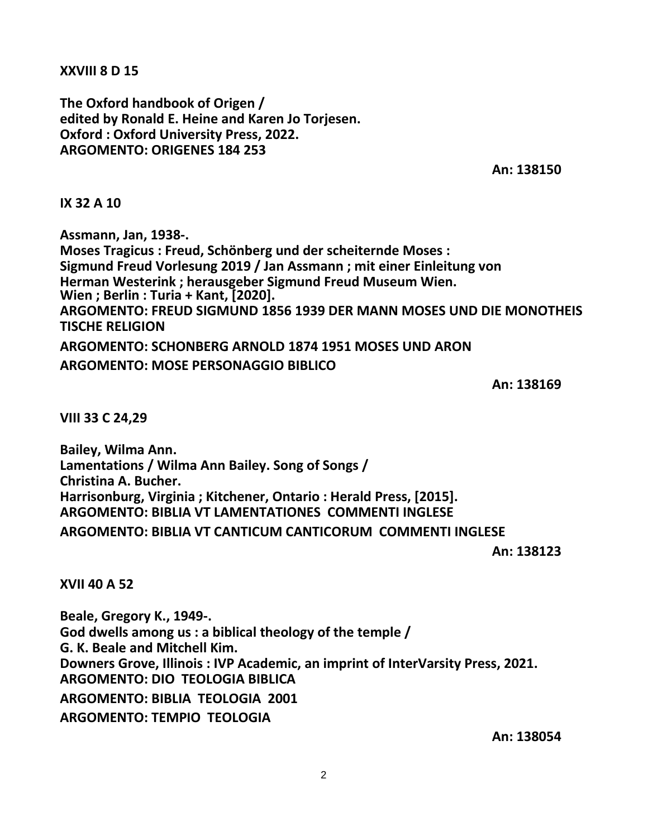**XXVIII 8 D 15**

**The Oxford handbook of Origen / edited by Ronald E. Heine and Karen Jo Torjesen. Oxford : Oxford University Press, 2022. ARGOMENTO: ORIGENES 184 253**

**An: 138150**

**IX 32 A 10**

**Assmann, Jan, 1938-. Moses Tragicus : Freud, Schönberg und der scheiternde Moses : Sigmund Freud Vorlesung 2019 / Jan Assmann ; mit einer Einleitung von Herman Westerink ; herausgeber Sigmund Freud Museum Wien. Wien ; Berlin : Turia + Kant, [2020]. ARGOMENTO: FREUD SIGMUND 1856 1939 DER MANN MOSES UND DIE MONOTHEIS TISCHE RELIGION ARGOMENTO: SCHONBERG ARNOLD 1874 1951 MOSES UND ARON ARGOMENTO: MOSE PERSONAGGIO BIBLICO**

**An: 138169**

**VIII 33 C 24,29**

**Bailey, Wilma Ann. Lamentations / Wilma Ann Bailey. Song of Songs / Christina A. Bucher. Harrisonburg, Virginia ; Kitchener, Ontario : Herald Press, [2015]. ARGOMENTO: BIBLIA VT LAMENTATIONES COMMENTI INGLESE ARGOMENTO: BIBLIA VT CANTICUM CANTICORUM COMMENTI INGLESE**

**An: 138123**

**XVII 40 A 52**

**Beale, Gregory K., 1949-. God dwells among us : a biblical theology of the temple / G. K. Beale and Mitchell Kim. Downers Grove, Illinois : IVP Academic, an imprint of InterVarsity Press, 2021. ARGOMENTO: DIO TEOLOGIA BIBLICA ARGOMENTO: BIBLIA TEOLOGIA 2001 ARGOMENTO: TEMPIO TEOLOGIA**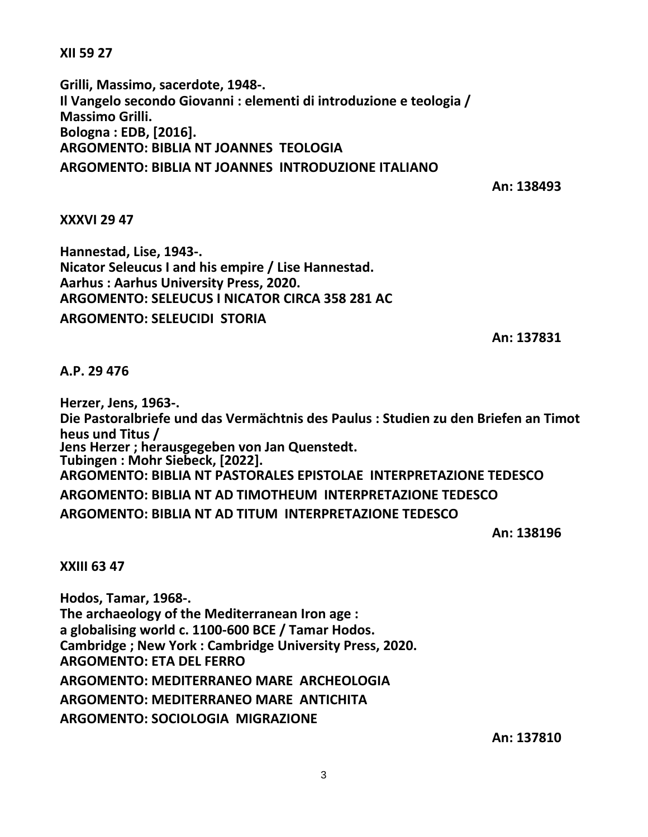**XII 59 27**

**Grilli, Massimo, sacerdote, 1948-. Il Vangelo secondo Giovanni : elementi di introduzione e teologia / Massimo Grilli. Bologna : EDB, [2016]. ARGOMENTO: BIBLIA NT JOANNES TEOLOGIA ARGOMENTO: BIBLIA NT JOANNES INTRODUZIONE ITALIANO**

**An: 138493**

## **XXXVI 29 47**

**Hannestad, Lise, 1943-. Nicator Seleucus I and his empire / Lise Hannestad. Aarhus : Aarhus University Press, 2020. ARGOMENTO: SELEUCUS I NICATOR CIRCA 358 281 AC ARGOMENTO: SELEUCIDI STORIA**

**An: 137831**

**A.P. 29 476**

**Herzer, Jens, 1963-. Die Pastoralbriefe und das Vermächtnis des Paulus : Studien zu den Briefen an Timot heus und Titus / Jens Herzer ; herausgegeben von Jan Quenstedt. Tubingen : Mohr Siebeck, [2022]. ARGOMENTO: BIBLIA NT PASTORALES EPISTOLAE INTERPRETAZIONE TEDESCO ARGOMENTO: BIBLIA NT AD TIMOTHEUM INTERPRETAZIONE TEDESCO ARGOMENTO: BIBLIA NT AD TITUM INTERPRETAZIONE TEDESCO**

**An: 138196**

**XXIII 63 47**

**Hodos, Tamar, 1968-. The archaeology of the Mediterranean Iron age : a globalising world c. 1100-600 BCE / Tamar Hodos. Cambridge ; New York : Cambridge University Press, 2020. ARGOMENTO: ETA DEL FERRO ARGOMENTO: MEDITERRANEO MARE ARCHEOLOGIA ARGOMENTO: MEDITERRANEO MARE ANTICHITA ARGOMENTO: SOCIOLOGIA MIGRAZIONE**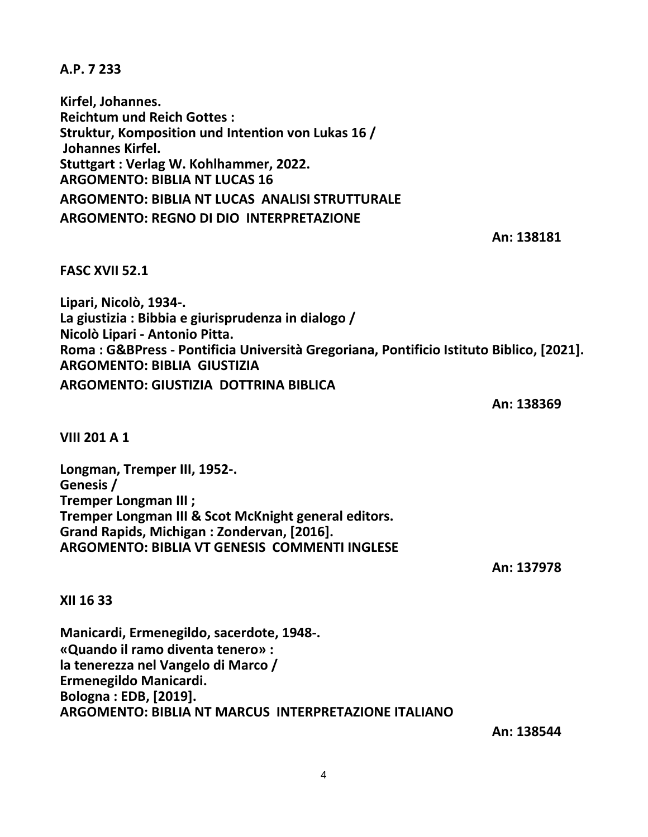**A.P. 7 233**

**Kirfel, Johannes. Reichtum und Reich Gottes : Struktur, Komposition und Intention von Lukas 16 / Johannes Kirfel. Stuttgart : Verlag W. Kohlhammer, 2022. ARGOMENTO: BIBLIA NT LUCAS 16 ARGOMENTO: BIBLIA NT LUCAS ANALISI STRUTTURALE ARGOMENTO: REGNO DI DIO INTERPRETAZIONE**

**An: 138181**

**FASC XVII 52.1**

**Lipari, Nicolò, 1934-. La giustizia : Bibbia e giurisprudenza in dialogo / Nicolò Lipari - Antonio Pitta. Roma : G&BPress - Pontificia Università Gregoriana, Pontificio Istituto Biblico, [2021]. ARGOMENTO: BIBLIA GIUSTIZIA ARGOMENTO: GIUSTIZIA DOTTRINA BIBLICA**

**An: 138369**

**VIII 201 A 1**

**Longman, Tremper III, 1952-. Genesis / Tremper Longman III ; Tremper Longman III & Scot McKnight general editors. Grand Rapids, Michigan : Zondervan, [2016]. ARGOMENTO: BIBLIA VT GENESIS COMMENTI INGLESE**

**An: 137978**

**XII 16 33**

**Manicardi, Ermenegildo, sacerdote, 1948-. «Quando il ramo diventa tenero» : la tenerezza nel Vangelo di Marco / Ermenegildo Manicardi. Bologna : EDB, [2019]. ARGOMENTO: BIBLIA NT MARCUS INTERPRETAZIONE ITALIANO**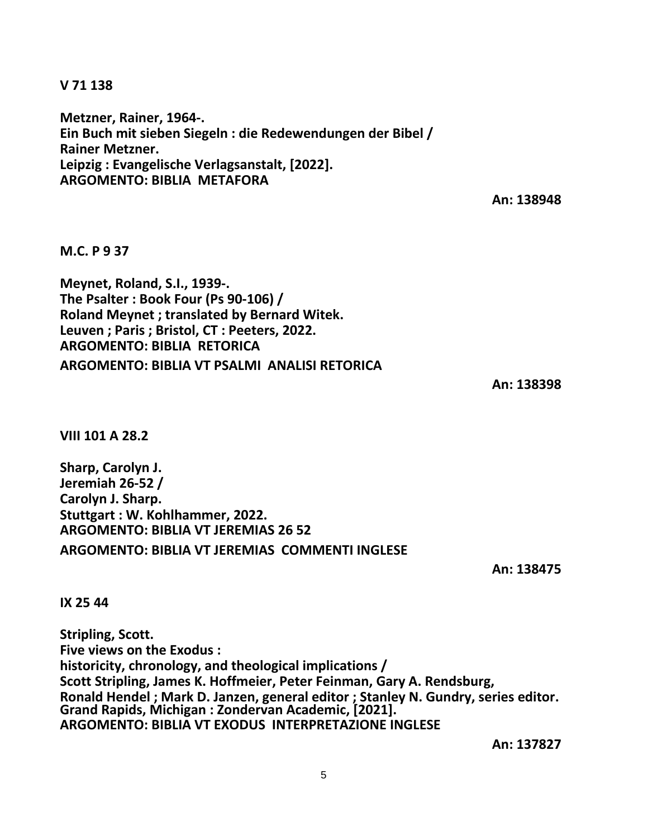**V 71 138**

**Metzner, Rainer, 1964-. Ein Buch mit sieben Siegeln : die Redewendungen der Bibel / Rainer Metzner. Leipzig : Evangelische Verlagsanstalt, [2022]. ARGOMENTO: BIBLIA METAFORA**

**An: 138948**

**M.C. P 9 37**

**Meynet, Roland, S.I., 1939-. The Psalter : Book Four (Ps 90-106) / Roland Meynet ; translated by Bernard Witek. Leuven ; Paris ; Bristol, CT : Peeters, 2022. ARGOMENTO: BIBLIA RETORICA ARGOMENTO: BIBLIA VT PSALMI ANALISI RETORICA**

**An: 138398**

**VIII 101 A 28.2**

**Sharp, Carolyn J. Jeremiah 26-52 / Carolyn J. Sharp. Stuttgart : W. Kohlhammer, 2022. ARGOMENTO: BIBLIA VT JEREMIAS 26 52 ARGOMENTO: BIBLIA VT JEREMIAS COMMENTI INGLESE**

**An: 138475**

**IX 25 44**

**Stripling, Scott. Five views on the Exodus : historicity, chronology, and theological implications / Scott Stripling, James K. Hoffmeier, Peter Feinman, Gary A. Rendsburg, Ronald Hendel ; Mark D. Janzen, general editor ; Stanley N. Gundry, series editor. Grand Rapids, Michigan : Zondervan Academic, [2021]. ARGOMENTO: BIBLIA VT EXODUS INTERPRETAZIONE INGLESE**